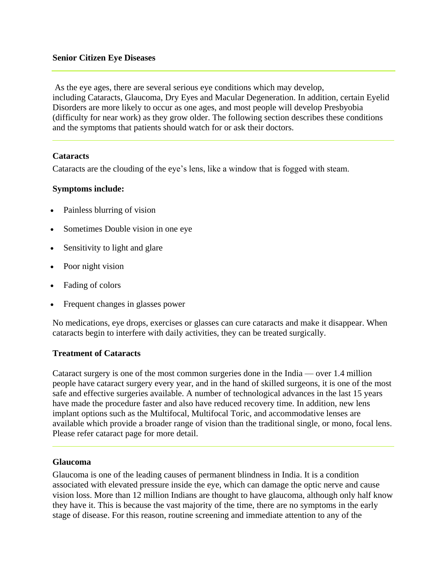As the eye ages, there are several serious eye conditions which may develop, including [Cataracts,](http://www.nylasergroup.com/new-york/cataracts.htm) [Glaucoma,](http://www.nylasergroup.com/new-york/glaucoma.htm) [Dry Eyes](http://www.nylasergroup.com/new-york/dry-eye-syndrome.htm) and Macular Degeneration. In addition, certain Eyelid Disorders are more likely to occur as one ages, and most people will develop Presbyobia (difficulty for near work) as they grow older. The following section describes these conditions and the symptoms that patients should watch for or ask their doctors.

### **Cataracts**

Cataracts are the clouding of the eye's lens, like a window that is fogged with steam.

## **Symptoms include:**

- Painless blurring of vision
- Sometimes Double vision in one eye
- Sensitivity to light and glare
- Poor night vision
- Fading of colors
- Frequent changes in glasses power

No medications, eye drops, exercises or glasses can cure cataracts and make it disappear. When cataracts begin to interfere with daily activities, they can be treated surgically.

### **Treatment of Cataracts**

Cataract surgery is one of the most common surgeries done in the India — over 1.4 million people have cataract surgery every year, and in the hand of skilled surgeons, it is one of the most safe and effective surgeries available. A number of technological advances in the last 15 years have made the procedure faster and also have reduced recovery time. In addition, new lens implant options such as the Multifocal, Multifocal Toric, and accommodative lenses are available which provide a broader range of vision than the traditional single, or mono, focal lens. Please refer cataract page for more detail.

### **Glaucoma**

Glaucoma is one of the leading causes of permanent blindness in India. It is a condition associated with elevated pressure inside the eye, which can damage the optic nerve and cause vision loss. More than 12 million Indians are thought to have glaucoma, although only half know they have it. This is because the vast majority of the time, there are no symptoms in the early stage of disease. For this reason, routine screening and immediate attention to any of the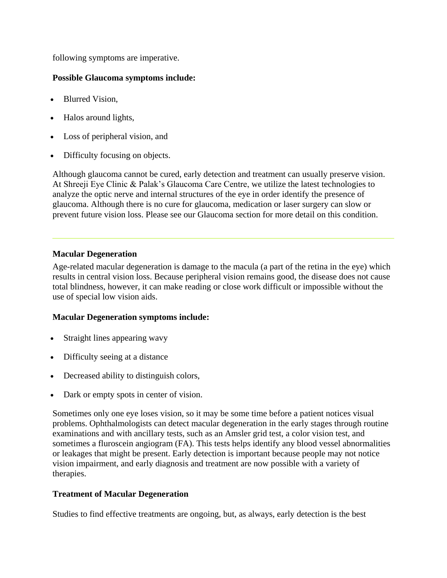following symptoms are imperative.

# **Possible Glaucoma symptoms include:**

- Blurred Vision,
- Halos around lights,
- Loss of peripheral vision, and
- Difficulty focusing on objects.

Although glaucoma cannot be cured, early detection and treatment can usually preserve vision. At Shreeji Eye Clinic & Palak's Glaucoma Care Centre, we utilize the latest technologies to analyze the optic nerve and internal structures of the eye in order identify the presence of glaucoma. Although there is no cure for glaucoma, medication or laser surgery can slow or prevent future vision loss. Please see our Glaucoma section for more detail on this condition.

## **Macular Degeneration**

Age-related macular degeneration is damage to the macula (a part of the retina in the eye) which results in central vision loss. Because peripheral vision remains good, the disease does not cause total blindness, however, it can make reading or close work difficult or impossible without the use of special low vision aids.

### **Macular Degeneration symptoms include:**

- Straight lines appearing wavy
- Difficulty seeing at a distance
- Decreased ability to distinguish colors,
- Dark or empty spots in center of vision.

Sometimes only one eye loses vision, so it may be some time before a patient notices visual problems. Ophthalmologists can detect macular degeneration in the early stages through routine examinations and with ancillary tests, such as an Amsler grid test, a color vision test, and sometimes a fluroscein angiogram (FA). This tests helps identify any blood vessel abnormalities or leakages that might be present. Early detection is important because people may not notice vision impairment, and early diagnosis and treatment are now possible with a variety of therapies.

# **Treatment of Macular Degeneration**

Studies to find effective treatments are ongoing, but, as always, early detection is the best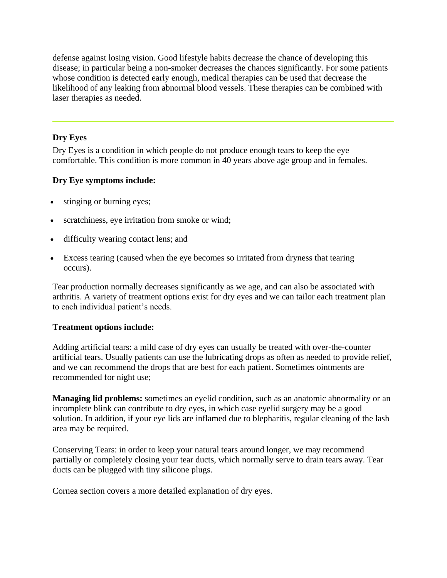defense against losing vision. Good lifestyle habits decrease the chance of developing this disease; in particular being a non-smoker decreases the chances significantly. For some patients whose condition is detected early enough, medical therapies can be used that decrease the likelihood of any leaking from abnormal blood vessels. These therapies can be combined with laser therapies as needed.

# **Dry Eyes**

Dry Eyes is a condition in which people do not produce enough tears to keep the eye comfortable. This condition is more common in 40 years above age group and in females.

## **Dry Eye symptoms include:**

- stinging or burning eyes;
- scratchiness, eye irritation from smoke or wind;
- difficulty wearing contact lens; and
- Excess tearing (caused when the eye becomes so irritated from dryness that tearing occurs).

Tear production normally decreases significantly as we age, and can also be associated with arthritis. A variety of treatment options exist for dry eyes and we can tailor each treatment plan to each individual patient's needs.

### **Treatment options include:**

Adding artificial tears: a mild case of dry eyes can usually be treated with over-the-counter artificial tears. Usually patients can use the lubricating drops as often as needed to provide relief, and we can recommend the drops that are best for each patient. Sometimes ointments are recommended for night use;

**Managing lid problems:** sometimes an eyelid condition, such as an anatomic abnormality or an incomplete blink can contribute to dry eyes, in which case eyelid surgery may be a good solution. In addition, if your eye lids are inflamed due to blepharitis, regular cleaning of the lash area may be required.

Conserving Tears: in order to keep your natural tears around longer, we may recommend partially or completely closing your tear ducts, which normally serve to drain tears away. Tear ducts can be plugged with tiny silicone plugs.

Cornea section covers a more detailed explanation of dry eyes.